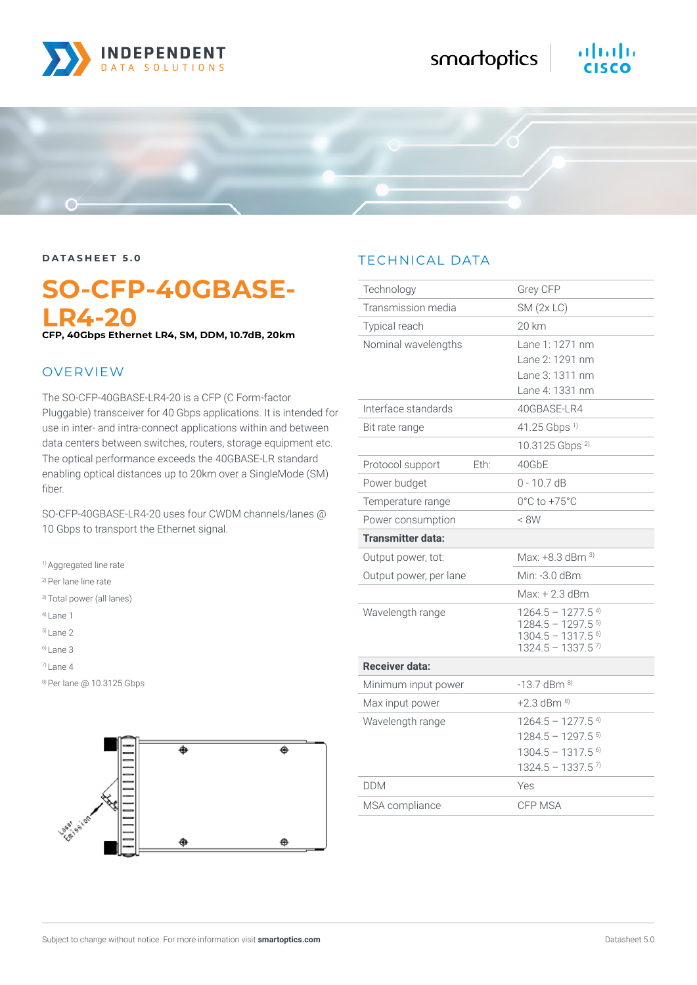

# almlu



## **SO-CFP-40GBASE-LR4-20**

**CFP, 40Gbps Ethernet LR4, SM, DDM, 10.7dB, 20km**

#### OVERVIEW

The SO-CFP-40GBASE-LR4-20 is a CFP (C Form-factor Pluggable) transceiver for 40 Gbps applications. It is intended for use in inter- and intra-connect applications within and between data centers between switches, routers, storage equipment etc. The optical performance exceeds the 40GBASE-LR standard enabling optical distances up to 20km over a SingleMode (SM) fiber.

SO-CFP-40GBASE-LR4-20 uses four CWDM channels/lanes @ 10 Gbps to transport the Ethernet signal.

<sup>1)</sup> Aggregated line rate

2) Per lane line rate

3) Total power (all lanes)

4) Lane 1

5) Lane 2

 $6$ ) Lane 3

7) Lane 4

8) Per lane @ 10.3125 Gbps



#### TECHNICAL DATA

| Technology               |      | Grey CFP                                                                                                                                 |
|--------------------------|------|------------------------------------------------------------------------------------------------------------------------------------------|
| Transmission media       |      | $SM$ (2x LC)                                                                                                                             |
| Typical reach            |      | 20 km                                                                                                                                    |
| Nominal wavelengths      |      | Lane 1: 1271 nm<br>Lane 2: 1291 nm<br>Lane 3: 1311 nm<br>Lane 4: 1331 nm                                                                 |
| Interface standards      |      | 40GBASE-LR4                                                                                                                              |
| Bit rate range           |      | $41.25$ Gbps <sup>1)</sup>                                                                                                               |
|                          |      | 10.3125 Gbps <sup>2)</sup>                                                                                                               |
| Protocol support         | Eth: | 40GbE                                                                                                                                    |
| Power budget             |      | $0 - 10.7$ dB                                                                                                                            |
| Temperature range        |      | $0^{\circ}$ C to $+75^{\circ}$ C                                                                                                         |
| Power consumption        |      | < 8W                                                                                                                                     |
| <b>Transmitter data:</b> |      |                                                                                                                                          |
| Output power, tot:       |      | Max: $+8.3$ dBm $^{3}$                                                                                                                   |
| Output power, per lane   |      | Min: -3.0 dBm                                                                                                                            |
|                          |      | Max: + 2.3 dBm                                                                                                                           |
| Wavelength range         |      | $1264.5 - 1277.5$ <sup>4)</sup><br>$1284.5 - 1297.5$ <sup>5)</sup><br>$1304.5 - 1317.5$ <sup>6)</sup><br>$1324.5 - 1337.5$ <sup>7)</sup> |
| Receiver data:           |      |                                                                                                                                          |
| Minimum input power      |      | $-13.7$ dBm $^{8)}$                                                                                                                      |
| Max input power          |      | $+2.3$ dBm $^{8)}$                                                                                                                       |
| Wavelength range         |      | $1264.5 - 1277.5$ <sup>4)</sup><br>$1284.5 - 1297.5$ <sup>5)</sup><br>$1304.5 - 1317.5$ <sup>6)</sup><br>$1324.5 - 1337.5$ <sup>7)</sup> |
| <b>DDM</b>               |      | Yes                                                                                                                                      |
| MSA compliance           |      | CFP MSA                                                                                                                                  |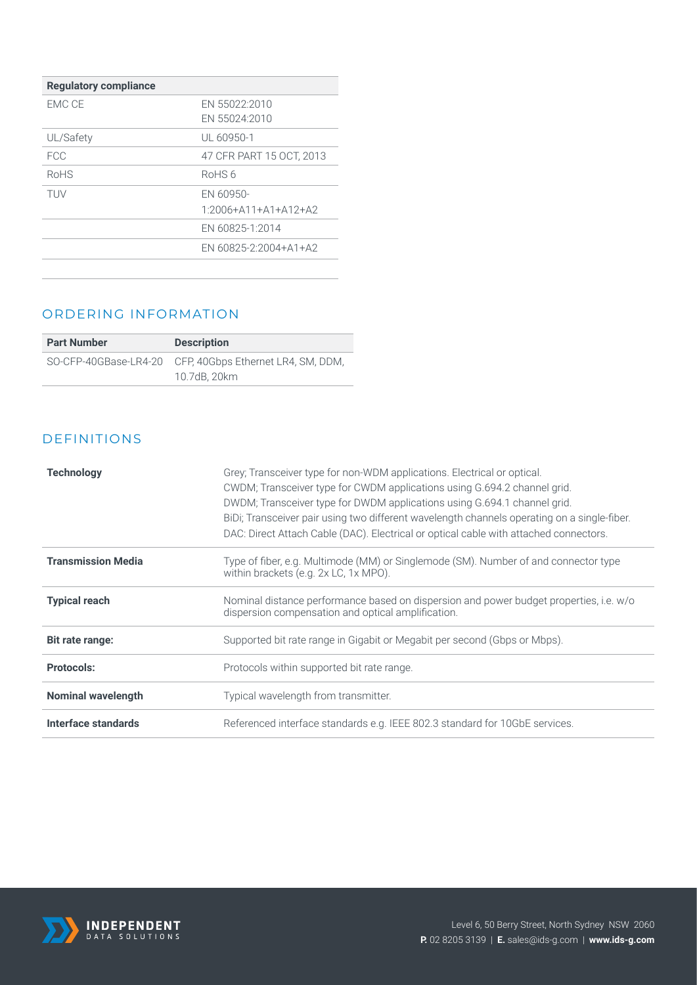| <b>Regulatory compliance</b> |                                |
|------------------------------|--------------------------------|
| EMC CE                       | EN 55022:2010                  |
|                              | EN 55024:2010                  |
| UL/Safety                    | UL 60950-1                     |
| FCC.                         | 47 CFR PART 15 OCT, 2013       |
| RoHS                         | RoHS6                          |
| <b>TUV</b>                   | EN 60950-                      |
|                              | $1.2006 + A11 + A1 + A12 + A2$ |
|                              | EN 60825-1:2014                |
|                              | EN 60825-2:2004+A1+A2          |
|                              |                                |

#### ORDERING INFORMATION

| <b>Part Number</b> | <b>Description</b>                                       |
|--------------------|----------------------------------------------------------|
|                    | SO-CFP-40GBase-LR4-20 CFP, 40Gbps Ethernet LR4, SM, DDM, |
|                    | 10.7dB, 20km                                             |

#### DEFINITIONS

| <b>Technology</b>         | Grey; Transceiver type for non-WDM applications. Electrical or optical.<br>CWDM; Transceiver type for CWDM applications using G.694.2 channel grid.<br>DWDM; Transceiver type for DWDM applications using G.694.1 channel grid.<br>BiDi; Transceiver pair using two different wavelength channels operating on a single-fiber.<br>DAC: Direct Attach Cable (DAC). Electrical or optical cable with attached connectors. |
|---------------------------|-------------------------------------------------------------------------------------------------------------------------------------------------------------------------------------------------------------------------------------------------------------------------------------------------------------------------------------------------------------------------------------------------------------------------|
| <b>Transmission Media</b> | Type of fiber, e.g. Multimode (MM) or Singlemode (SM). Number of and connector type<br>within brackets (e.g. 2x LC, 1x MPO).                                                                                                                                                                                                                                                                                            |
| <b>Typical reach</b>      | Nominal distance performance based on dispersion and power budget properties, i.e. w/o<br>dispersion compensation and optical amplification.                                                                                                                                                                                                                                                                            |
| Bit rate range:           | Supported bit rate range in Gigabit or Megabit per second (Gbps or Mbps).                                                                                                                                                                                                                                                                                                                                               |
| <b>Protocols:</b>         | Protocols within supported bit rate range.                                                                                                                                                                                                                                                                                                                                                                              |
| <b>Nominal wavelength</b> | Typical wavelength from transmitter.                                                                                                                                                                                                                                                                                                                                                                                    |
| Interface standards       | Referenced interface standards e.g. IEEE 802.3 standard for 10GbE services.                                                                                                                                                                                                                                                                                                                                             |